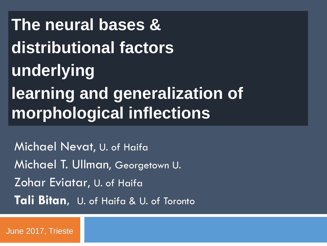**The neural bases & distributional factors underlying learning and generalization of morphological inflections**

Michael Nevat, U. of Haifa Michael T. Ullman, Georgetown U. Zohar Eviatar, U. of Haifa **Tali Bitan,** U. of Haifa & U. of Toronto

June 2017, Trieste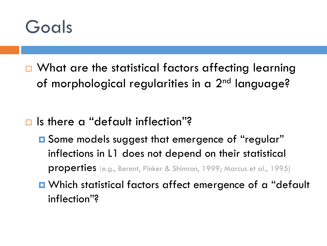

- $\Box$  What are the statistical factors affecting learning of morphological regularities in a 2<sup>nd</sup> language?
- □ Is there a "default inflection"?
	- **E** Some models suggest that emergence of "regular" inflections in L1 does not depend on their statistical properties (e.g., Berent, Pinker & Shimron, 1999; Marcus et al., 1995)
	- Which statistical factors affect emergence of a "default inflection"?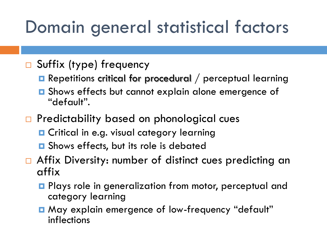# Domain general statistical factors

- □ Suffix (type) frequency
	- **Repetitions critical for procedural** / perceptual learning
	- **O** Shows effects but cannot explain alone emergence of "default".
- □ Predictability based on phonological cues
	- **D** Critical in e.g. visual category learning
	- **□** Shows effects, but its role is debated
- □ Affix Diversity: number of distinct cues predicting an affix
	- **Plays role in generalization from motor, perceptual and** category learning
	- May explain emergence of low-frequency "default" inflections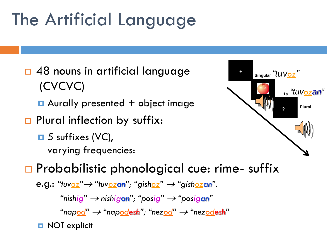# The Artificial Language

□ 48 nouns in artificial language (CVCVC)

 $\blacksquare$  Aurally presented  $+$  object image

- □ Plural inflection by suffix:
	- $\Box$  5 suffixes (VC), varying frequencies:



### □ Probabilistic phonological cue: rime- suffix

e.g.: *"tuvoz " "tuvozan" ; "gishoz" "gishozan".*

*"nishig" nishigan" ; " posig" " posigan"*

 $\lq$ "napodesh"; "nez<u>od</u>" → "nez<u>od</u>esh"

**D** NOT explicit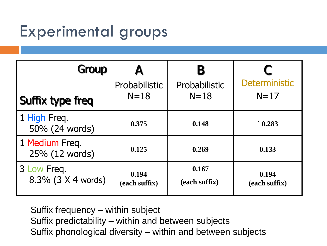### Experimental groups

| Group                             |                         | В                         |                         |
|-----------------------------------|-------------------------|---------------------------|-------------------------|
| Suffix type freq                  | Probabilistic<br>$N=18$ | Probabilistic<br>$N = 18$ | Deterministic<br>$N=17$ |
| 1 High Freq.<br>50% (24 words)    | 0.375                   | 0.148                     | $\degree$ 0.283         |
| 1 Medium Freq.<br>25% (12 words)  | 0.125                   | 0.269                     | 0.133                   |
| 3 Low Freq.<br>8.3% (3 X 4 words) | 0.194<br>(each suffix)  | 0.167<br>(each suffix)    | 0.194<br>(each suffix)  |

Suffix frequency – within subject Suffix predictability – within and between subjects Suffix phonological diversity – within and between subjects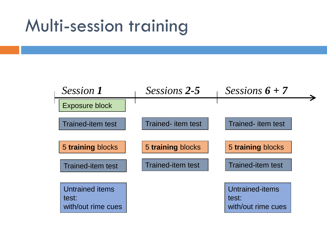### Multi-session training

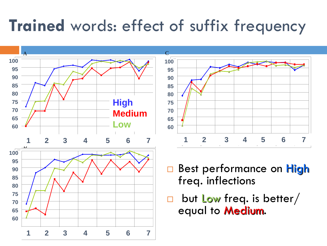### **Trained** words: effect of suffix frequency

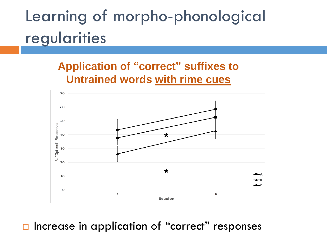### Learning of morpho-phonological regularities

#### **Application of "correct" suffixes to Untrained words with rime cues**



#### $\Box$  Increase in application of "correct" responses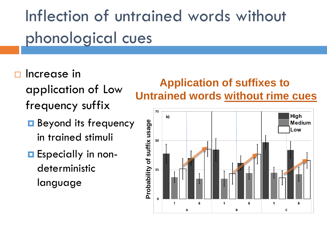# Inflection of untrained words without phonological cues

- Increase in
	- application of Low frequency suffix
	- **Beyond its frequency** in trained stimuli
	- **E** Especially in nondeterministic language

#### **Application of suffixes to Untrained words without rime cues**

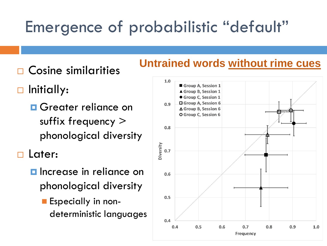### Emergence of probabilistic "default"

- Cosine similarities
- □ Initially:
	- **O** Greater reliance on suffix frequency > phonological diversity

Later:

- $\blacksquare$  Increase in reliance on phonological diversity
	- **Especially in non**deterministic languages

### **Untrained words without rime cues**

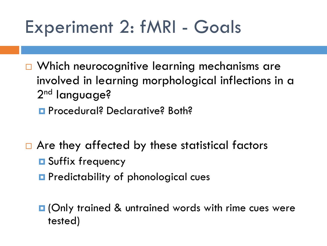## Experiment 2: fMRI - Goals

- □ Which neurocognitive learning mechanisms are involved in learning morphological inflections in a 2<sup>nd</sup> language?
	- **Procedural? Declarative? Both?**
- $\Box$  Are they affected by these statistical factors **D** Suffix frequency
	- **P** Predictability of phonological cues
	- **D** (Only trained & untrained words with rime cues were tested)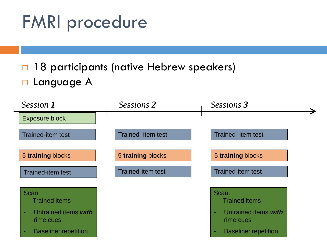# FMRI procedure

 18 participants (native Hebrew speakers) **D** Language A

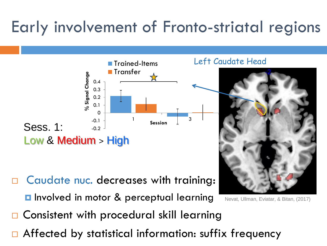### Early involvement of Fronto-striatal regions



- Caudate nuc. decreases with training:
	- **<u>E</u>** Involved in motor & perceptual learning
- Nevat, Ullman, Eviatar, & Bitan, (2017)
- Consistent with procedural skill learning
- Affected by statistical information: suffix frequency

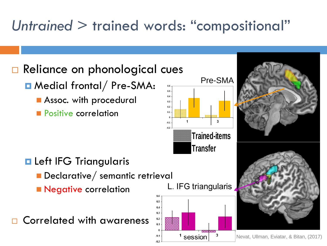### *Untrained* > trained words: "compositional"

 $0.5$  $0.4$  $0.3$  $0.2$  $0.1$ 

 $-0.1$ 

### □ Reliance on phonological cues

- Medial frontal/Pre-SMA:
	- **Assoc.** with procedural
	- **Positive correlation**



L. IFG triangularis

<sup>1</sup> session

3



Nevat, Ullman, Eviatar, & Bitan, (2017)

**Reft IFG Triangularis** 

- Declarative/ semantic retrieval
- **Negative correlation**

Correlated with awareness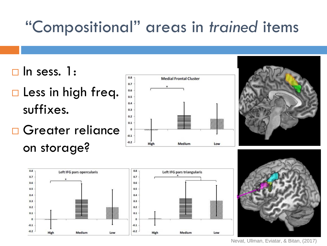### "Compositional" areas in *trained* items

- $\Box$  In sess. 1:
- $\square$  Less in high freq. suffixes.
- □ Greater reliance on storage?









Nevat, Ullman, Eviatar, & Bitan, (2017)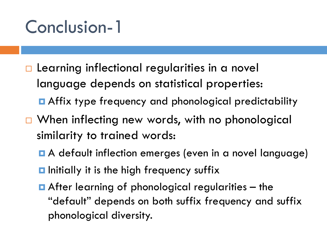## Conclusion-1

- $\Box$  Learning inflectional regularities in a novel language depends on statistical properties: **n** Affix type frequency and phonological predictability
- □ When inflecting new words, with no phonological similarity to trained words:
	- A default inflection emerges (even in a novel language)
	- $\blacksquare$  Initially it is the high frequency suffix
	- $\blacksquare$  After learning of phonological regularities  $-$  the "default" depends on both suffix frequency and suffix phonological diversity.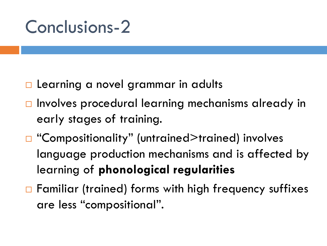### Conclusions-2

- □ Learning a novel grammar in adults
- □ Involves procedural learning mechanisms already in early stages of training.
- □ "Compositionality" (untrained>trained) involves language production mechanisms and is affected by learning of **phonological regularities**
- $\Box$  Familiar (trained) forms with high frequency suffixes are less "compositional".